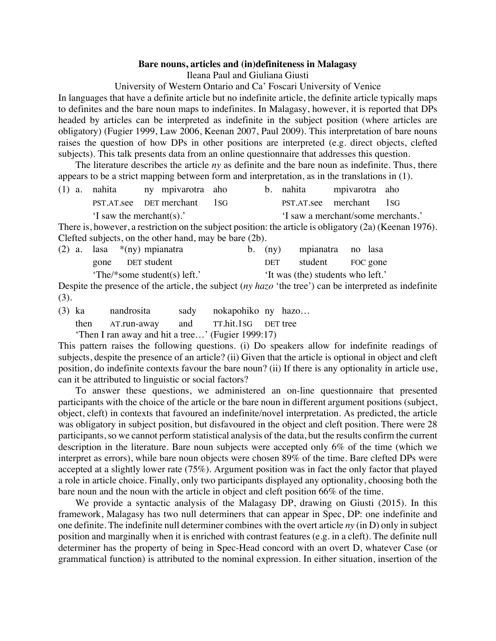## **Bare nouns, articles and (in)definiteness in Malagasy**

Ileana Paul and Giuliana Giusti

University of Western Ontario and Ca' Foscari University of Venice

In languages that have a definite article but no indefinite article, the definite article typically maps to definites and the bare noun maps to indefinites. In Malagasy, however, it is reported that DPs headed by articles can be interpreted as indefinite in the subject position (where articles are obligatory) (Fugier 1999, Law 2006, Keenan 2007, Paul 2009). This interpretation of bare nouns raises the question of how DPs in other positions are interpreted (e.g. direct objects, clefted subjects). This talk presents data from an online questionnaire that addresses this question.

The literature describes the article *ny* as definite and the bare noun as indefinite. Thus, there appears to be a strict mapping between form and interpretation, as in the translations in (1).

| $(1)$ a. nahita                                                                                                | ny mpivarotra aho           |  |  | b. nahita                          | mpivarotra aho          |  |  |
|----------------------------------------------------------------------------------------------------------------|-----------------------------|--|--|------------------------------------|-------------------------|--|--|
|                                                                                                                | PST.AT.see DET merchant 1SG |  |  |                                    | PST.AT.see merchant 1SG |  |  |
| 'I saw the merchant(s).'                                                                                       |                             |  |  | 'I saw a merchant/some merchants.' |                         |  |  |
| There is however a restriction on the subject position the extigle is obligators $(2e)(V_{\alpha}^{2} + 1076)$ |                             |  |  |                                    |                         |  |  |

There is, however, a restriction on the subject position: the article is obligatory (2a) (Keenan 1976). Clefted subjects, on the other hand, may be bare (2b).

|  | (2) a. lasa $*(ny)$ mpianatra |  | b. (ny) mpianatra no lasa         |  |
|--|-------------------------------|--|-----------------------------------|--|
|  | gone DET student              |  | DET student FOC gone              |  |
|  | 'The/*some student(s) left.'  |  | 'It was (the) students who left.' |  |

Despite the presence of the article, the subject (*ny hazo* 'the tree') can be interpreted as indefinite (3).

(3) ka nandrosita sady nokapohiko ny hazo…

then AT.run-away and TT.hit.1SG DET tree

'Then I ran away and hit a tree…' (Fugier 1999:17)

This pattern raises the following questions. (i) Do speakers allow for indefinite readings of subjects, despite the presence of an article? (ii) Given that the article is optional in object and cleft position, do indefinite contexts favour the bare noun? (ii) If there is any optionality in article use, can it be attributed to linguistic or social factors?

To answer these questions, we administered an on-line questionnaire that presented participants with the choice of the article or the bare noun in different argument positions (subject, object, cleft) in contexts that favoured an indefinite/novel interpretation. As predicted, the article was obligatory in subject position, but disfavoured in the object and cleft position. There were 28 participants, so we cannot perform statistical analysis of the data, but the results confirm the current description in the literature. Bare noun subjects were accepted only 6% of the time (which we interpret as errors), while bare noun objects were chosen 89% of the time. Bare clefted DPs were accepted at a slightly lower rate (75%). Argument position was in fact the only factor that played a role in article choice. Finally, only two participants displayed any optionality, choosing both the bare noun and the noun with the article in object and cleft position 66% of the time.

We provide a syntactic analysis of the Malagasy DP, drawing on Giusti (2015). In this framework, Malagasy has two null determiners that can appear in Spec, DP: one indefinite and one definite. The indefinite null determiner combines with the overt article *ny* (in D) only in subject position and marginally when it is enriched with contrast features (e.g. in a cleft). The definite null determiner has the property of being in Spec-Head concord with an overt D, whatever Case (or grammatical function) is attributed to the nominal expression. In either situation, insertion of the